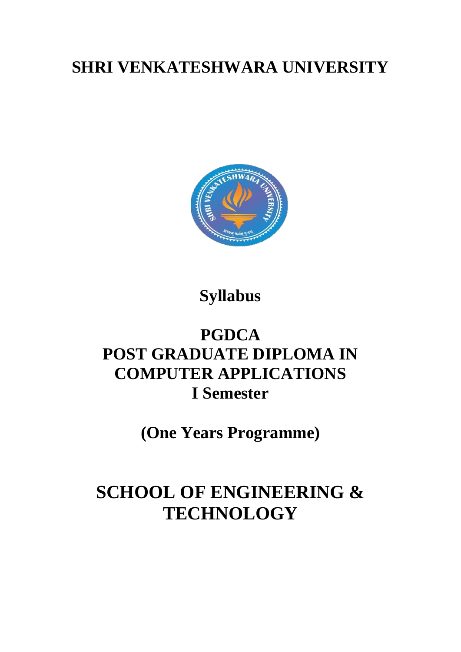## **SHRI VENKATESHWARA UNIVERSITY**



## **Syllabus**

## **PGDCA POST GRADUATE DIPLOMA IN COMPUTER APPLICATIONS I Semester**

**(One Years Programme)**

# **SCHOOL OF ENGINEERING & TECHNOLOGY**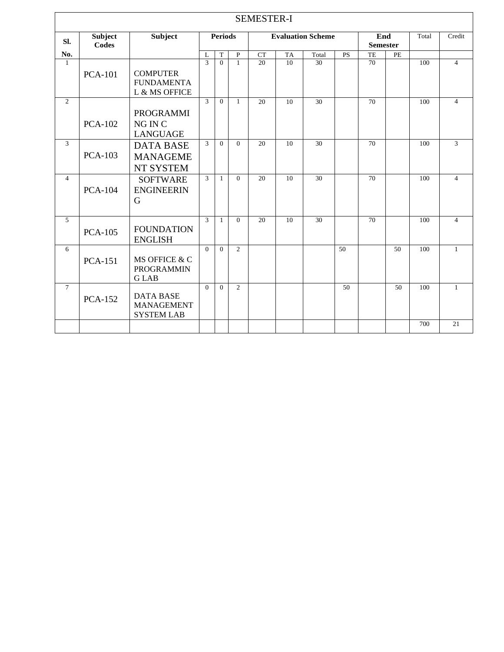| <b>SEMESTER-I</b> |                         |                                                            |                          |                |                |                          |           |       |           |                        |           |       |                |
|-------------------|-------------------------|------------------------------------------------------------|--------------------------|----------------|----------------|--------------------------|-----------|-------|-----------|------------------------|-----------|-------|----------------|
| SI.               | <b>Subject</b><br>Codes | Subject                                                    | <b>Periods</b>           |                |                | <b>Evaluation Scheme</b> |           |       |           | End<br><b>Semester</b> |           | Total | Credit         |
| No.               |                         |                                                            | $\mathbf{L}$             | $\mathbf T$    | $\mathbf{P}$   | <b>CT</b>                | <b>TA</b> | Total | <b>PS</b> | TE                     | <b>PE</b> |       |                |
| $\mathbf{1}$      | <b>PCA-101</b>          | <b>COMPUTER</b><br><b>FUNDAMENTA</b><br>L & MS OFFICE      | $\mathbf{3}$             | $\Omega$       | $\mathbf{1}$   | 20                       | 10        | 30    |           | 70                     |           | 100   | $\overline{4}$ |
| $\overline{2}$    | <b>PCA-102</b>          | <b>PROGRAMMI</b><br>NG IN C<br><b>LANGUAGE</b>             | $\overline{\mathcal{L}}$ | $\overline{0}$ | $\mathbf{1}$   | 20                       | 10        | 30    |           | 70                     |           | 100   | $\overline{4}$ |
| 3                 | <b>PCA-103</b>          | <b>DATA BASE</b><br><b>MANAGEME</b><br>NT SYSTEM           | 3                        | $\Omega$       | $\Omega$       | 20                       | 10        | 30    |           | 70                     |           | 100   | 3              |
| $\overline{4}$    | <b>PCA-104</b>          | <b>SOFTWARE</b><br><b>ENGINEERIN</b><br>G                  | 3                        | $\mathbf{1}$   | $\Omega$       | 20                       | 10        | 30    |           | 70                     |           | 100   | $\overline{4}$ |
| 5                 | <b>PCA-105</b>          | <b>FOUNDATION</b><br><b>ENGLISH</b>                        | 3                        | $\mathbf{1}$   | $\Omega$       | 20                       | 10        | 30    |           | 70                     |           | 100   | $\overline{4}$ |
| 6                 | <b>PCA-151</b>          | MS OFFICE & C<br><b>PROGRAMMIN</b><br><b>GLAB</b>          | $\Omega$                 | $\Omega$       | $\overline{2}$ |                          |           |       | 50        |                        | 50        | 100   | $\mathbf{1}$   |
| $\tau$            | <b>PCA-152</b>          | <b>DATA BASE</b><br><b>MANAGEMENT</b><br><b>SYSTEM LAB</b> | $\Omega$                 | $\Omega$       | $\overline{2}$ |                          |           |       | 50        |                        | 50        | 100   | $\mathbf{1}$   |
|                   |                         |                                                            |                          |                |                |                          |           |       |           |                        |           | 700   | 21             |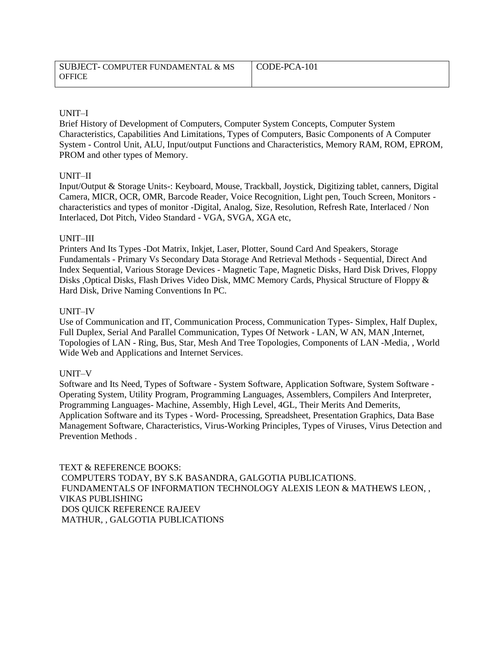#### UNIT–I

Brief History of Development of Computers, Computer System Concepts, Computer System Characteristics, Capabilities And Limitations, Types of Computers, Basic Components of A Computer System - Control Unit, ALU, Input/output Functions and Characteristics, Memory RAM, ROM, EPROM, PROM and other types of Memory.

#### UNIT–II

Input/Output & Storage Units-: Keyboard, Mouse, Trackball, Joystick, Digitizing tablet, canners, Digital Camera, MICR, OCR, OMR, Barcode Reader, Voice Recognition, Light pen, Touch Screen, Monitors characteristics and types of monitor -Digital, Analog, Size, Resolution, Refresh Rate, Interlaced / Non Interlaced, Dot Pitch, Video Standard - VGA, SVGA, XGA etc,

#### UNIT–III

Printers And Its Types -Dot Matrix, Inkjet, Laser, Plotter, Sound Card And Speakers, Storage Fundamentals - Primary Vs Secondary Data Storage And Retrieval Methods - Sequential, Direct And Index Sequential, Various Storage Devices - Magnetic Tape, Magnetic Disks, Hard Disk Drives, Floppy Disks ,Optical Disks, Flash Drives Video Disk, MMC Memory Cards, Physical Structure of Floppy & Hard Disk, Drive Naming Conventions In PC.

#### UNIT–IV

Use of Communication and IT, Communication Process, Communication Types- Simplex, Half Duplex, Full Duplex, Serial And Parallel Communication, Types Of Network - LAN, W AN, MAN ,Internet, Topologies of LAN - Ring, Bus, Star, Mesh And Tree Topologies, Components of LAN -Media, , World Wide Web and Applications and Internet Services.

#### UNIT–V

Software and Its Need, Types of Software - System Software, Application Software, System Software - Operating System, Utility Program, Programming Languages, Assemblers, Compilers And Interpreter, Programming Languages- Machine, Assembly, High Level, 4GL, Their Merits And Demerits, Application Software and its Types - Word- Processing, Spreadsheet, Presentation Graphics, Data Base Management Software, Characteristics, Virus-Working Principles, Types of Viruses, Virus Detection and Prevention Methods .

TEXT & REFERENCE BOOKS: COMPUTERS TODAY, BY S.K BASANDRA, GALGOTIA PUBLICATIONS. FUNDAMENTALS OF INFORMATION TECHNOLOGY ALEXIS LEON & MATHEWS LEON, , VIKAS PUBLISHING DOS QUICK REFERENCE RAJEEV MATHUR, , GALGOTIA PUBLICATIONS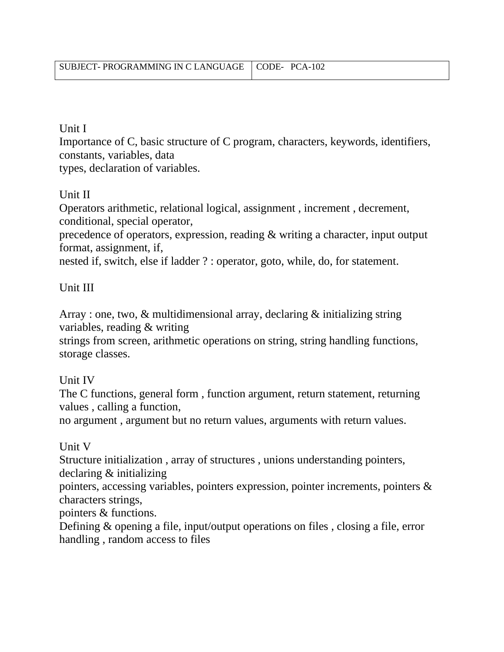### Unit I

Importance of C, basic structure of C program, characters, keywords, identifiers, constants, variables, data

types, declaration of variables.

## Unit II

Operators arithmetic, relational logical, assignment , increment , decrement, conditional, special operator,

precedence of operators, expression, reading & writing a character, input output format, assignment, if,

nested if, switch, else if ladder ? : operator, goto, while, do, for statement.

### Unit III

Array : one, two, & multidimensional array, declaring & initializing string variables, reading & writing

strings from screen, arithmetic operations on string, string handling functions, storage classes.

### Unit IV

The C functions, general form , function argument, return statement, returning values , calling a function,

no argument , argument but no return values, arguments with return values.

### Unit V

Structure initialization , array of structures , unions understanding pointers, declaring & initializing

pointers, accessing variables, pointers expression, pointer increments, pointers & characters strings,

pointers & functions.

Defining & opening a file, input/output operations on files , closing a file, error handling , random access to files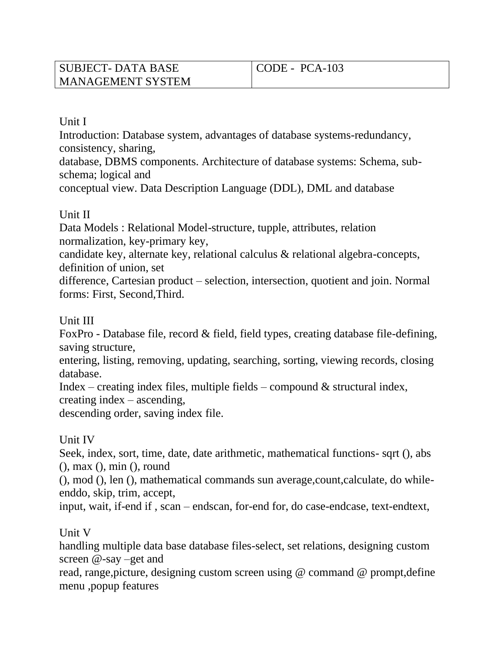#### Unit I

Introduction: Database system, advantages of database systems-redundancy, consistency, sharing,

database, DBMS components. Architecture of database systems: Schema, subschema; logical and

conceptual view. Data Description Language (DDL), DML and database

#### Unit II

Data Models : Relational Model-structure, tupple, attributes, relation normalization, key-primary key,

candidate key, alternate key, relational calculus & relational algebra-concepts, definition of union, set

difference, Cartesian product – selection, intersection, quotient and join. Normal forms: First, Second,Third.

#### Unit III

FoxPro - Database file, record & field, field types, creating database file-defining, saving structure,

entering, listing, removing, updating, searching, sorting, viewing records, closing database.

Index – creating index files, multiple fields – compound  $\&$  structural index, creating index – ascending,

descending order, saving index file.

### Unit IV

Seek, index, sort, time, date, date arithmetic, mathematical functions- sqrt (), abs (), max (), min (), round

(), mod (), len (), mathematical commands sun average,count,calculate, do whileenddo, skip, trim, accept,

input, wait, if-end if , scan – endscan, for-end for, do case-endcase, text-endtext,

#### Unit V

handling multiple data base database files-select, set relations, designing custom screen @-say –get and

read, range,picture, designing custom screen using @ command @ prompt,define menu ,popup features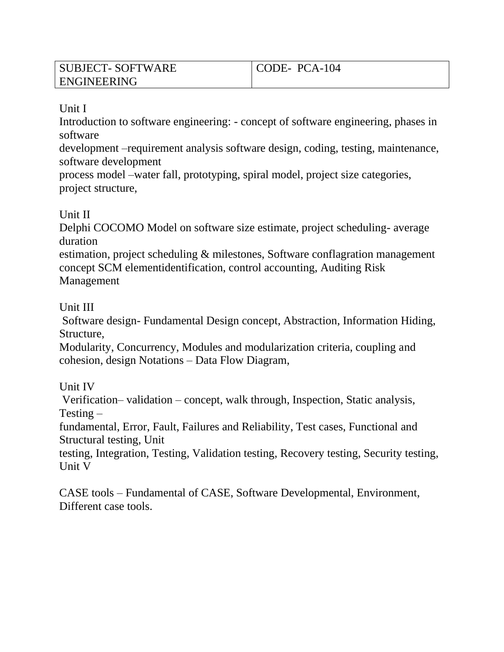### Unit I

Introduction to software engineering: - concept of software engineering, phases in software

development –requirement analysis software design, coding, testing, maintenance, software development

process model –water fall, prototyping, spiral model, project size categories, project structure,

## Unit II

Delphi COCOMO Model on software size estimate, project scheduling- average duration

estimation, project scheduling & milestones, Software conflagration management concept SCM elementidentification, control accounting, Auditing Risk Management

## Unit III

Software design- Fundamental Design concept, Abstraction, Information Hiding, Structure,

Modularity, Concurrency, Modules and modularization criteria, coupling and cohesion, design Notations – Data Flow Diagram,

Unit IV

Verification– validation – concept, walk through, Inspection, Static analysis, Testing –

fundamental, Error, Fault, Failures and Reliability, Test cases, Functional and Structural testing, Unit

testing, Integration, Testing, Validation testing, Recovery testing, Security testing, Unit V

CASE tools – Fundamental of CASE, Software Developmental, Environment, Different case tools.